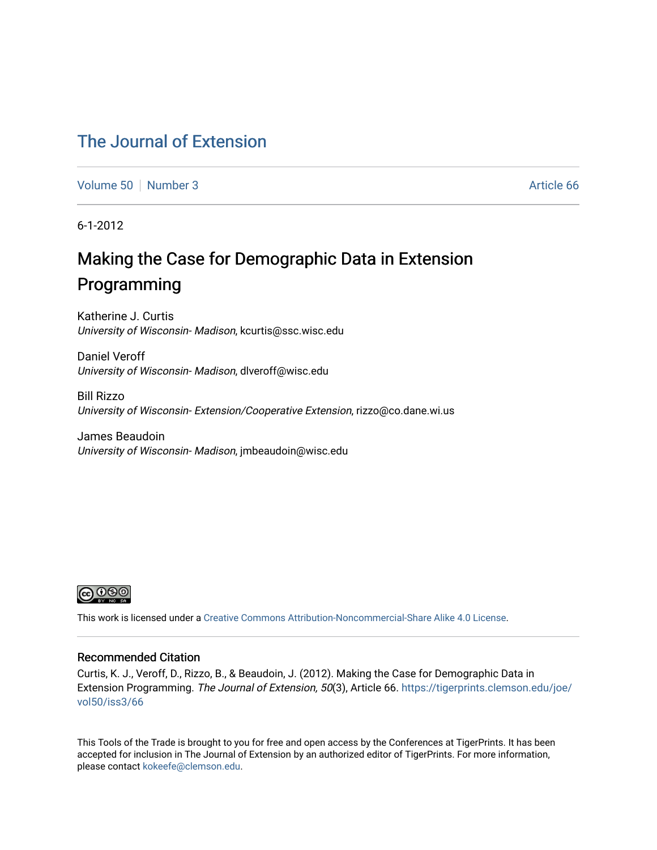# [The Journal of Extension](https://tigerprints.clemson.edu/joe)

[Volume 50](https://tigerprints.clemson.edu/joe/vol50) [Number 3](https://tigerprints.clemson.edu/joe/vol50/iss3) Article 66

6-1-2012

# Making the Case for Demographic Data in Extension Programming

Katherine J. Curtis University of Wisconsin- Madison, kcurtis@ssc.wisc.edu

Daniel Veroff University of Wisconsin- Madison, dlveroff@wisc.edu

Bill Rizzo University of Wisconsin- Extension/Cooperative Extension, rizzo@co.dane.wi.us

James Beaudoin University of Wisconsin- Madison, jmbeaudoin@wisc.edu



This work is licensed under a [Creative Commons Attribution-Noncommercial-Share Alike 4.0 License.](https://creativecommons.org/licenses/by-nc-sa/4.0/)

#### Recommended Citation

Curtis, K. J., Veroff, D., Rizzo, B., & Beaudoin, J. (2012). Making the Case for Demographic Data in Extension Programming. The Journal of Extension, 50(3), Article 66. [https://tigerprints.clemson.edu/joe/](https://tigerprints.clemson.edu/joe/vol50/iss3/66) [vol50/iss3/66](https://tigerprints.clemson.edu/joe/vol50/iss3/66) 

This Tools of the Trade is brought to you for free and open access by the Conferences at TigerPrints. It has been accepted for inclusion in The Journal of Extension by an authorized editor of TigerPrints. For more information, please contact [kokeefe@clemson.edu](mailto:kokeefe@clemson.edu).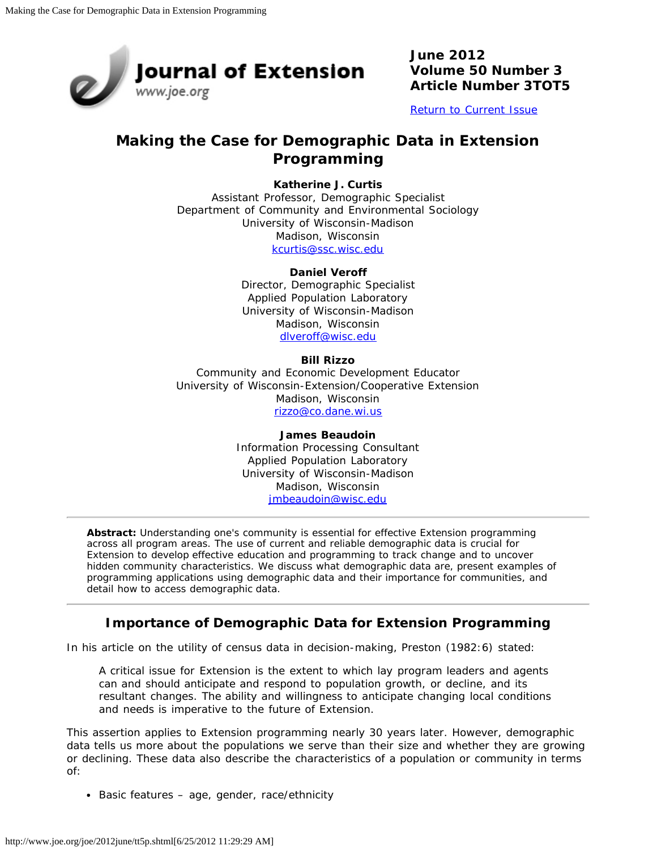

**June 2012 Volume 50 Number 3 Article Number 3TOT5**

[Return to Current Issue](http://www.joe.org/joe/2012june/)

## **Making the Case for Demographic Data in Extension Programming**

#### **Katherine J. Curtis**

Assistant Professor, Demographic Specialist Department of Community and Environmental Sociology University of Wisconsin-Madison Madison, Wisconsin [kcurtis@ssc.wisc.edu](mailto:kcurtis@ssc.wisc.edu)

#### **Daniel Veroff**

Director, Demographic Specialist Applied Population Laboratory University of Wisconsin-Madison Madison, Wisconsin [dlveroff@wisc.edu](mailto:dlveroff@wisc.edu)

#### **Bill Rizzo**

Community and Economic Development Educator University of Wisconsin-Extension/Cooperative Extension Madison, Wisconsin [rizzo@co.dane.wi.us](mailto:rizzo@co.dane.wi.us)

> **James Beaudoin** Information Processing Consultant Applied Population Laboratory University of Wisconsin-Madison Madison, Wisconsin [jmbeaudoin@wisc.edu](mailto:jmbeaudoin@wisc.edu)

*Abstract: Understanding one's community is essential for effective Extension programming across all program areas. The use of current and reliable demographic data is crucial for Extension to develop effective education and programming to track change and to uncover hidden community characteristics. We discuss what demographic data are, present examples of programming applications using demographic data and their importance for communities, and detail how to access demographic data.*

## **Importance of Demographic Data for Extension Programming**

In his article on the utility of census data in decision-making, Preston (1982:6) stated:

A critical issue for Extension is the extent to which lay program leaders and agents can and should anticipate and respond to population growth, or decline, and its resultant changes. The ability and willingness to anticipate changing local conditions and needs is imperative to the future of Extension.

This assertion applies to Extension programming nearly 30 years later. However, demographic data tells us more about the populations we serve than their size and whether they are growing or declining. These data also describe the characteristics of a population or community in terms of:

Basic features – age, gender, race/ethnicity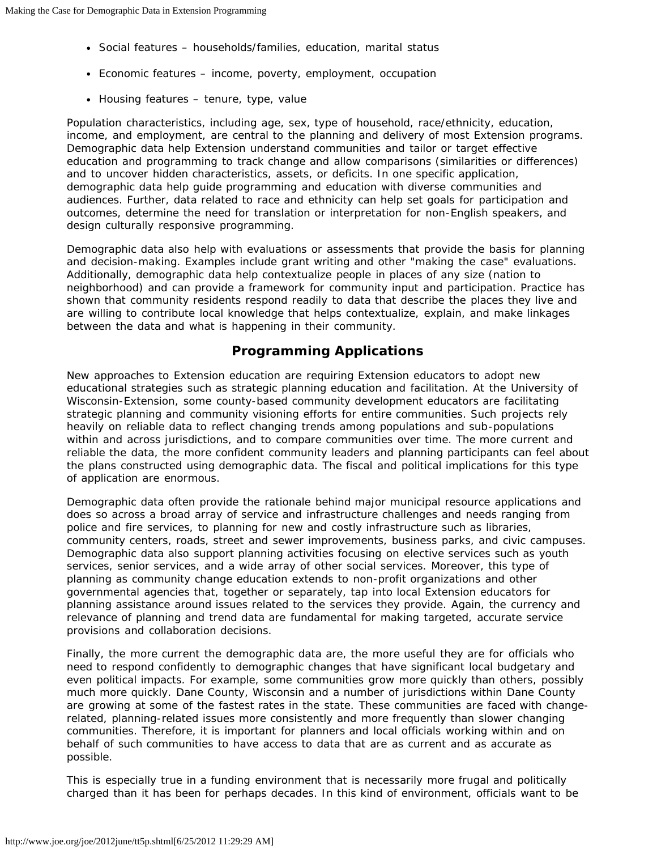- Social features households/families, education, marital status
- Economic features income, poverty, employment, occupation
- Housing features tenure, type, value

Population characteristics, including age, sex, type of household, race/ethnicity, education, income, and employment, are central to the planning and delivery of most Extension programs. Demographic data help Extension understand communities and tailor or target effective education and programming to track change and allow comparisons (similarities or differences) and to uncover hidden characteristics, assets, or deficits. In one specific application, demographic data help guide programming and education with diverse communities and audiences. Further, data related to race and ethnicity can help set goals for participation and outcomes, determine the need for translation or interpretation for non-English speakers, and design culturally responsive programming.

Demographic data also help with evaluations or assessments that provide the basis for planning and decision-making. Examples include grant writing and other "making the case" evaluations. Additionally, demographic data help contextualize people in places of any size (nation to neighborhood) and can provide a framework for community input and participation. Practice has shown that community residents respond readily to data that describe the places they live and are willing to contribute local knowledge that helps contextualize, explain, and make linkages between the data and what is happening in their community.

### **Programming Applications**

New approaches to Extension education are requiring Extension educators to adopt new educational strategies such as strategic planning education and facilitation. At the University of Wisconsin-Extension, some county-based community development educators are facilitating strategic planning and community visioning efforts for entire communities. Such projects rely heavily on reliable data to reflect changing trends among populations and sub-populations within and across jurisdictions, and to compare communities over time. The more current and reliable the data, the more confident community leaders and planning participants can feel about the plans constructed using demographic data. The fiscal and political implications for this type of application are enormous.

Demographic data often provide the rationale behind major municipal resource applications and does so across a broad array of service and infrastructure challenges and needs ranging from police and fire services, to planning for new and costly infrastructure such as libraries, community centers, roads, street and sewer improvements, business parks, and civic campuses. Demographic data also support planning activities focusing on elective services such as youth services, senior services, and a wide array of other social services. Moreover, this type of planning as community change education extends to non-profit organizations and other governmental agencies that, together or separately, tap into local Extension educators for planning assistance around issues related to the services they provide. Again, the currency and relevance of planning and trend data are fundamental for making targeted, accurate service provisions and collaboration decisions.

Finally, the more current the demographic data are, the more useful they are for officials who need to respond confidently to demographic changes that have significant local budgetary and even political impacts. For example, some communities grow more quickly than others, possibly much more quickly. Dane County, Wisconsin and a number of jurisdictions within Dane County are growing at some of the fastest rates in the state. These communities are faced with changerelated, planning-related issues more consistently and more frequently than slower changing communities. Therefore, it is important for planners and local officials working within and on behalf of such communities to have access to data that are as current and as accurate as possible.

This is especially true in a funding environment that is necessarily more frugal and politically charged than it has been for perhaps decades. In this kind of environment, officials want to be